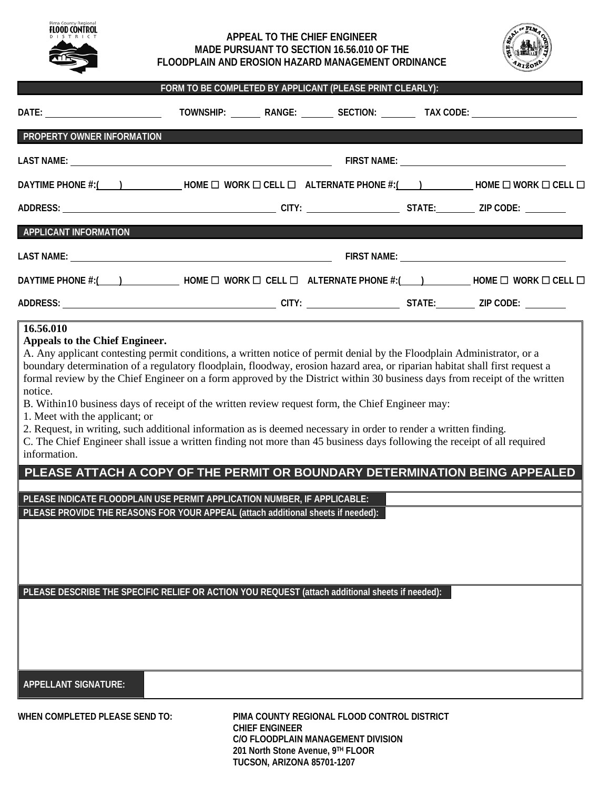| Pima County Regional |
|----------------------|
| FLOOD CONTROL        |
| D<br>T R<br>т        |
|                      |
|                      |
|                      |
|                      |
|                      |
|                      |

## **APPEAL TO THE CHIEF ENGINEER MADE PURSUANT TO SECTION 16.56.010 OF THE FLOODPLAIN AND EROSION HAZARD MANAGEMENT ORDINANCE**



|                                                                                                                                                                                                                                                                                                                                                                                                                                                                                                                                                                                                                                                  | FORM TO BE COMPLETED BY APPLICANT (PLEASE PRINT CLEARLY): |  |                                             |  |                                                                                   |  |
|--------------------------------------------------------------------------------------------------------------------------------------------------------------------------------------------------------------------------------------------------------------------------------------------------------------------------------------------------------------------------------------------------------------------------------------------------------------------------------------------------------------------------------------------------------------------------------------------------------------------------------------------------|-----------------------------------------------------------|--|---------------------------------------------|--|-----------------------------------------------------------------------------------|--|
|                                                                                                                                                                                                                                                                                                                                                                                                                                                                                                                                                                                                                                                  |                                                           |  |                                             |  | TOWNSHIP: _________ RANGE: _________ SECTION: _________ TAX CODE: _______________ |  |
| PROPERTY OWNER INFORMATION                                                                                                                                                                                                                                                                                                                                                                                                                                                                                                                                                                                                                       |                                                           |  |                                             |  |                                                                                   |  |
|                                                                                                                                                                                                                                                                                                                                                                                                                                                                                                                                                                                                                                                  |                                                           |  |                                             |  |                                                                                   |  |
| DAYTIME PHONE #:( ) ____________HOME □ WORK □ CELL □ ALTERNATE PHONE #:( ) __________HOME □ WORK □ CELL □                                                                                                                                                                                                                                                                                                                                                                                                                                                                                                                                        |                                                           |  |                                             |  |                                                                                   |  |
|                                                                                                                                                                                                                                                                                                                                                                                                                                                                                                                                                                                                                                                  |                                                           |  |                                             |  |                                                                                   |  |
| <b>APPLICANT INFORMATION</b>                                                                                                                                                                                                                                                                                                                                                                                                                                                                                                                                                                                                                     | <u> 1989 - Johann Barn, mars eta bizkailar (h. 1989).</u> |  |                                             |  |                                                                                   |  |
|                                                                                                                                                                                                                                                                                                                                                                                                                                                                                                                                                                                                                                                  |                                                           |  |                                             |  |                                                                                   |  |
| DAYTIME PHONE #:( ) ______________HOME □ WORK □ CELL □ ALTERNATE PHONE #:( ___) _________HOME □ WORK □ CELL □                                                                                                                                                                                                                                                                                                                                                                                                                                                                                                                                    |                                                           |  |                                             |  |                                                                                   |  |
|                                                                                                                                                                                                                                                                                                                                                                                                                                                                                                                                                                                                                                                  |                                                           |  |                                             |  |                                                                                   |  |
| 1. Meet with the applicant; or<br>2. Request, in writing, such additional information as is deemed necessary in order to render a written finding.<br>C. The Chief Engineer shall issue a written finding not more than 45 business days following the receipt of all required<br>information.<br>PLEASE ATTACH A COPY OF THE PERMIT OR BOUNDARY DETERMINATION BEING APPEALED<br>PLEASE INDICATE FLOODPLAIN USE PERMIT APPLICATION NUMBER, IF APPLICABLE:<br>PLEASE PROVIDE THE REASONS FOR YOUR APPEAL (attach additional sheets if needed):<br>PLEASE DESCRIBE THE SPECIFIC RELIEF OR ACTION YOU REQUEST (attach additional sheets if needed): |                                                           |  |                                             |  |                                                                                   |  |
| <b>APPELLANT SIGNATURE:</b>                                                                                                                                                                                                                                                                                                                                                                                                                                                                                                                                                                                                                      |                                                           |  |                                             |  |                                                                                   |  |
| WHEN COMPLETED PLEASE SEND TO:                                                                                                                                                                                                                                                                                                                                                                                                                                                                                                                                                                                                                   |                                                           |  | PIMA COUNTY REGIONAL FLOOD CONTROL DISTRICT |  |                                                                                   |  |

 **CHIEF ENGINEER C/O FLOODPLAIN MANAGEMENT DIVISION 201 North Stone Avenue, 9TH FLOOR TUCSON, ARIZONA 85701-1207**